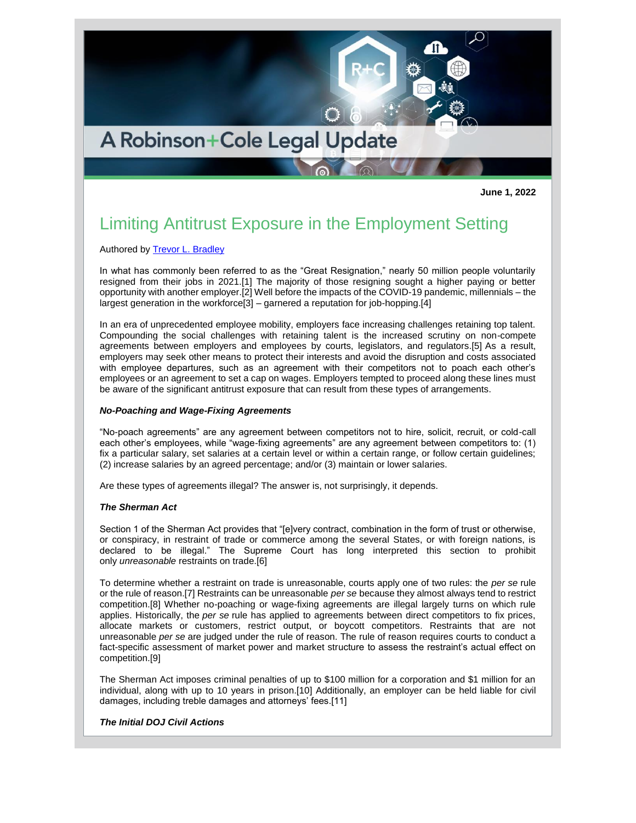

**June 1, 2022**

# Limiting Antitrust Exposure in the Employment Setting

Authored by [Trevor L. Bradley](http://www.rc.com/people/TrevorLBradley.cfm)

In what has commonly been referred to as the "Great Resignation," nearly 50 million people voluntarily resigned from their jobs in 2021.[1] The majority of those resigning sought a higher paying or better opportunity with another employer.[2] Well before the impacts of the COVID-19 pandemic, millennials – the largest generation in the workforce[3] – garnered a reputation for job-hopping.[4]

In an era of unprecedented employee mobility, employers face increasing challenges retaining top talent. Compounding the social challenges with retaining talent is the increased scrutiny on non-compete agreements between employers and employees by courts, legislators, and regulators.[5] As a result, employers may seek other means to protect their interests and avoid the disruption and costs associated with employee departures, such as an agreement with their competitors not to poach each other's employees or an agreement to set a cap on wages. Employers tempted to proceed along these lines must be aware of the significant antitrust exposure that can result from these types of arrangements.

#### *No-Poaching and Wage-Fixing Agreements*

"No-poach agreements" are any agreement between competitors not to hire, solicit, recruit, or cold-call each other's employees, while "wage-fixing agreements" are any agreement between competitors to: (1) fix a particular salary, set salaries at a certain level or within a certain range, or follow certain guidelines; (2) increase salaries by an agreed percentage; and/or (3) maintain or lower salaries.

Are these types of agreements illegal? The answer is, not surprisingly, it depends.

#### *The Sherman Act*

Section 1 of the Sherman Act provides that "[e]very contract, combination in the form of trust or otherwise, or conspiracy, in restraint of trade or commerce among the several States, or with foreign nations, is declared to be illegal." The Supreme Court has long interpreted this section to prohibit only *unreasonable* restraints on trade.[6]

To determine whether a restraint on trade is unreasonable, courts apply one of two rules: the *per se* rule or the rule of reason.[7] Restraints can be unreasonable *per se* because they almost always tend to restrict competition.[8] Whether no-poaching or wage-fixing agreements are illegal largely turns on which rule applies. Historically, the *per se* rule has applied to agreements between direct competitors to fix prices, allocate markets or customers, restrict output, or boycott competitors. Restraints that are not unreasonable *per se* are judged under the rule of reason. The rule of reason requires courts to conduct a fact-specific assessment of market power and market structure to assess the restraint's actual effect on competition.[9]

The Sherman Act imposes criminal penalties of up to \$100 million for a corporation and \$1 million for an individual, along with up to 10 years in prison.[10] Additionally, an employer can be held liable for civil damages, including treble damages and attorneys' fees.[11]

### *The Initial DOJ Civil Actions*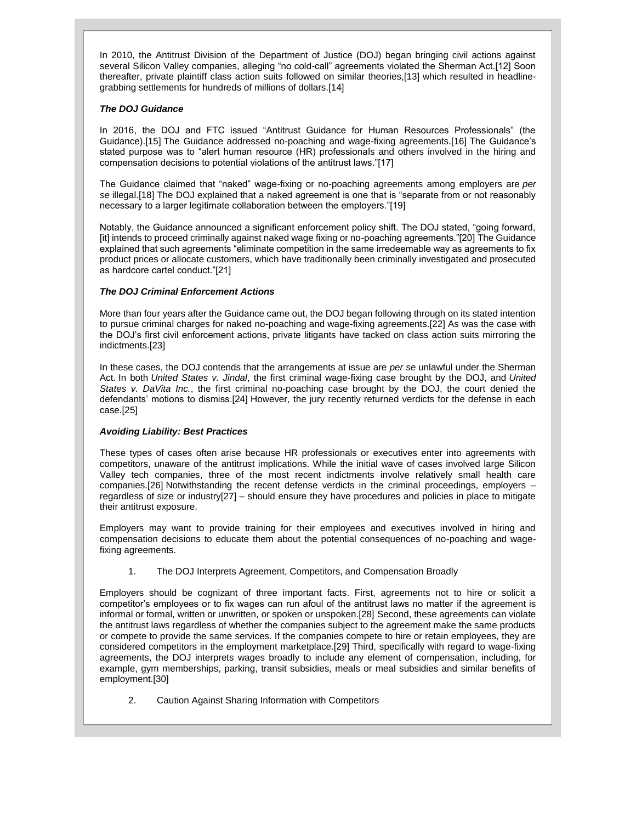In 2010, the Antitrust Division of the Department of Justice (DOJ) began bringing civil actions against several Silicon Valley companies, alleging "no cold-call" agreements violated the Sherman Act.[12] Soon thereafter, private plaintiff class action suits followed on similar theories,[13] which resulted in headlinegrabbing settlements for hundreds of millions of dollars.[14]

### *The DOJ Guidance*

In 2016, the DOJ and FTC issued "Antitrust Guidance for Human Resources Professionals" (the Guidance).[15] The Guidance addressed no-poaching and wage-fixing agreements.[16] The Guidance's stated purpose was to "alert human resource (HR) professionals and others involved in the hiring and compensation decisions to potential violations of the antitrust laws."[17]

The Guidance claimed that "naked" wage-fixing or no-poaching agreements among employers are *per se* illegal.[18] The DOJ explained that a naked agreement is one that is "separate from or not reasonably necessary to a larger legitimate collaboration between the employers."[19]

Notably, the Guidance announced a significant enforcement policy shift. The DOJ stated, "going forward, [it] intends to proceed criminally against naked wage fixing or no-poaching agreements."[20] The Guidance explained that such agreements "eliminate competition in the same irredeemable way as agreements to fix product prices or allocate customers, which have traditionally been criminally investigated and prosecuted as hardcore cartel conduct."[21]

### *The DOJ Criminal Enforcement Actions*

More than four years after the Guidance came out, the DOJ began following through on its stated intention to pursue criminal charges for naked no-poaching and wage-fixing agreements.[22] As was the case with the DOJ's first civil enforcement actions, private litigants have tacked on class action suits mirroring the indictments.[23]

In these cases, the DOJ contends that the arrangements at issue are *per se* unlawful under the Sherman Act. In both *United States v. Jindal*, the first criminal wage-fixing case brought by the DOJ, and *United States v. DaVita Inc.*, the first criminal no-poaching case brought by the DOJ, the court denied the defendants' motions to dismiss.[24] However, the jury recently returned verdicts for the defense in each case.[25]

## *Avoiding Liability: Best Practices*

These types of cases often arise because HR professionals or executives enter into agreements with competitors, unaware of the antitrust implications. While the initial wave of cases involved large Silicon Valley tech companies, three of the most recent indictments involve relatively small health care companies.[26] Notwithstanding the recent defense verdicts in the criminal proceedings, employers – regardless of size or industry[27] – should ensure they have procedures and policies in place to mitigate their antitrust exposure.

Employers may want to provide training for their employees and executives involved in hiring and compensation decisions to educate them about the potential consequences of no-poaching and wagefixing agreements.

1. The DOJ Interprets Agreement, Competitors, and Compensation Broadly

Employers should be cognizant of three important facts. First, agreements not to hire or solicit a competitor's employees or to fix wages can run afoul of the antitrust laws no matter if the agreement is informal or formal, written or unwritten, or spoken or unspoken.[28] Second, these agreements can violate the antitrust laws regardless of whether the companies subject to the agreement make the same products or compete to provide the same services. If the companies compete to hire or retain employees, they are considered competitors in the employment marketplace.[29] Third, specifically with regard to wage-fixing agreements, the DOJ interprets wages broadly to include any element of compensation, including, for example, gym memberships, parking, transit subsidies, meals or meal subsidies and similar benefits of employment.[30]

2. Caution Against Sharing Information with Competitors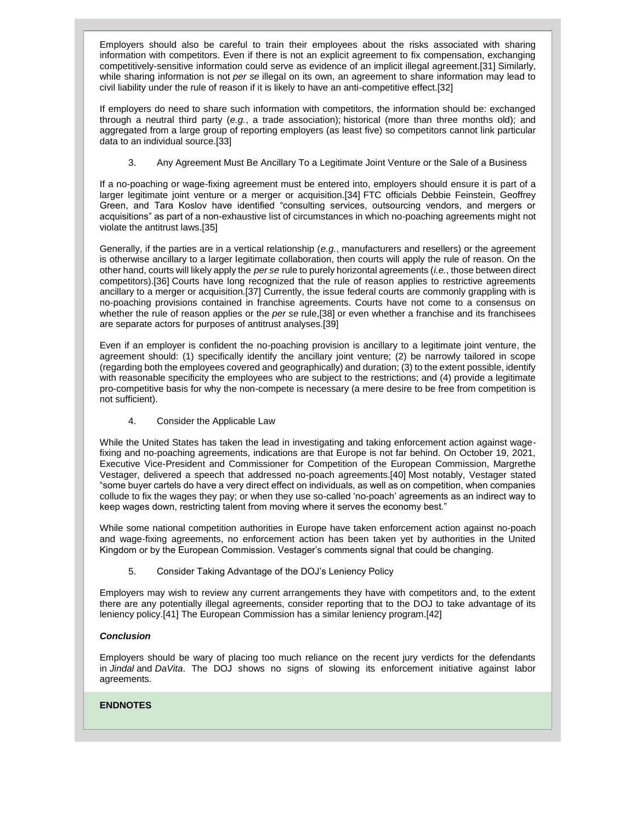Employers should also be careful to train their employees about the risks associated with sharing information with competitors. Even if there is not an explicit agreement to fix compensation, exchanging competitively-sensitive information could serve as evidence of an implicit illegal agreement.[31] Similarly, while sharing information is not *per se* illegal on its own, an agreement to share information may lead to civil liability under the rule of reason if it is likely to have an anti-competitive effect.[32]

If employers do need to share such information with competitors, the information should be: exchanged through a neutral third party (*e.g.*, a trade association); historical (more than three months old); and aggregated from a large group of reporting employers (as least five) so competitors cannot link particular data to an individual source.[33]

3. Any Agreement Must Be Ancillary To a Legitimate Joint Venture or the Sale of a Business

If a no-poaching or wage-fixing agreement must be entered into, employers should ensure it is part of a larger legitimate joint venture or a merger or acquisition.[34] FTC officials Debbie Feinstein, Geoffrey Green, and Tara Koslov have identified "consulting services, outsourcing vendors, and mergers or acquisitions" as part of a non-exhaustive list of circumstances in which no-poaching agreements might not violate the antitrust laws.[35]

Generally, if the parties are in a vertical relationship (*e.g.*, manufacturers and resellers) or the agreement is otherwise ancillary to a larger legitimate collaboration, then courts will apply the rule of reason. On the other hand, courts will likely apply the *per se* rule to purely horizontal agreements (*i.e.*, those between direct competitors).[36] Courts have long recognized that the rule of reason applies to restrictive agreements ancillary to a merger or acquisition.[37] Currently, the issue federal courts are commonly grappling with is no-poaching provisions contained in franchise agreements. Courts have not come to a consensus on whether the rule of reason applies or the *per se* rule,[38] or even whether a franchise and its franchisees are separate actors for purposes of antitrust analyses.[39]

Even if an employer is confident the no-poaching provision is ancillary to a legitimate joint venture, the agreement should: (1) specifically identify the ancillary joint venture; (2) be narrowly tailored in scope (regarding both the employees covered and geographically) and duration; (3) to the extent possible, identify with reasonable specificity the employees who are subject to the restrictions; and (4) provide a legitimate pro-competitive basis for why the non-compete is necessary (a mere desire to be free from competition is not sufficient).

4. Consider the Applicable Law

While the United States has taken the lead in investigating and taking enforcement action against wagefixing and no-poaching agreements, indications are that Europe is not far behind. On October 19, 2021, Executive Vice-President and Commissioner for Competition of the European Commission, Margrethe Vestager, delivered a speech that addressed no-poach agreements.[40] Most notably, Vestager stated "some buyer cartels do have a very direct effect on individuals, as well as on competition, when companies collude to fix the wages they pay; or when they use so-called 'no-poach' agreements as an indirect way to keep wages down, restricting talent from moving where it serves the economy best."

While some national competition authorities in Europe have taken enforcement action against no-poach and wage-fixing agreements, no enforcement action has been taken yet by authorities in the United Kingdom or by the European Commission. Vestager's comments signal that could be changing.

5. Consider Taking Advantage of the DOJ's Leniency Policy

Employers may wish to review any current arrangements they have with competitors and, to the extent there are any potentially illegal agreements, consider reporting that to the DOJ to take advantage of its leniency policy.[41] The European Commission has a similar leniency program.[42]

## *Conclusion*

Employers should be wary of placing too much reliance on the recent jury verdicts for the defendants in *Jindal* and *DaVita*. The DOJ shows no signs of slowing its enforcement initiative against labor agreements.

### **ENDNOTES**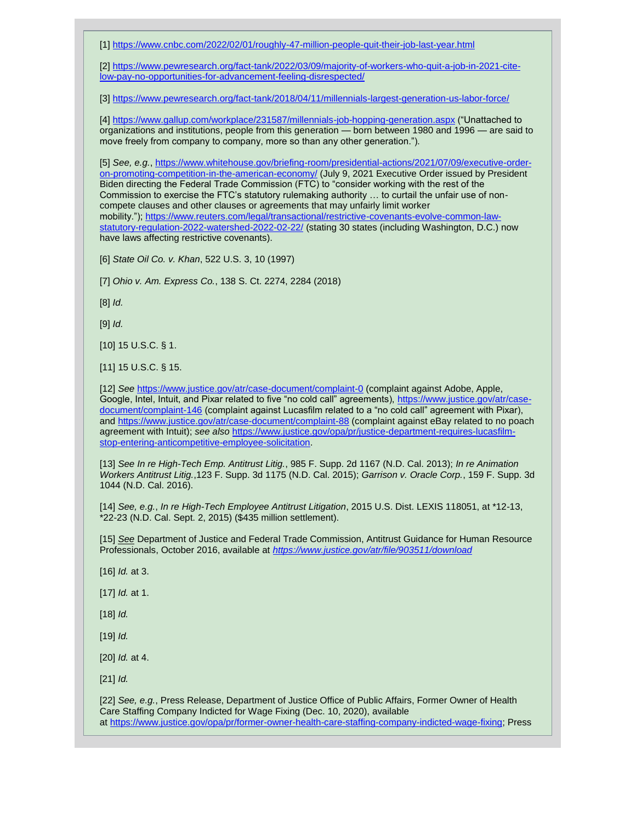[1] <https://www.cnbc.com/2022/02/01/roughly-47-million-people-quit-their-job-last-year.html>

[2] [https://www.pewresearch.org/fact-tank/2022/03/09/majority-of-workers-who-quit-a-job-in-2021-cite](https://www.pewresearch.org/fact-tank/2022/03/09/majority-of-workers-who-quit-a-job-in-2021-cite-low-pay-no-opportunities-for-advancement-feeling-disrespected/)[low-pay-no-opportunities-for-advancement-feeling-disrespected/](https://www.pewresearch.org/fact-tank/2022/03/09/majority-of-workers-who-quit-a-job-in-2021-cite-low-pay-no-opportunities-for-advancement-feeling-disrespected/)

[3] <https://www.pewresearch.org/fact-tank/2018/04/11/millennials-largest-generation-us-labor-force/>

[4] <https://www.gallup.com/workplace/231587/millennials-job-hopping-generation.aspx> ("Unattached to organizations and institutions, people from this generation — born between 1980 and 1996 — are said to move freely from company to company, more so than any other generation.").

[5] *See, e.g.*, [https://www.whitehouse.gov/briefing-room/presidential-actions/2021/07/09/executive-order](https://www.whitehouse.gov/briefing-room/presidential-actions/2021/07/09/executive-order-on-promoting-competition-in-the-american-economy/)[on-promoting-competition-in-the-american-economy/](https://www.whitehouse.gov/briefing-room/presidential-actions/2021/07/09/executive-order-on-promoting-competition-in-the-american-economy/) (July 9, 2021 Executive Order issued by President Biden directing the Federal Trade Commission (FTC) to "consider working with the rest of the Commission to exercise the FTC's statutory rulemaking authority … to curtail the unfair use of noncompete clauses and other clauses or agreements that may unfairly limit worker mobility."); [https://www.reuters.com/legal/transactional/restrictive-covenants-evolve-common-law](https://www.reuters.com/legal/transactional/restrictive-covenants-evolve-common-law-statutory-regulation-2022-watershed-2022-02-22/)[statutory-regulation-2022-watershed-2022-02-22/](https://www.reuters.com/legal/transactional/restrictive-covenants-evolve-common-law-statutory-regulation-2022-watershed-2022-02-22/) (stating 30 states (including Washington, D.C.) now have laws affecting restrictive covenants).

[6] *State Oil Co. v. Khan*, 522 U.S. 3, 10 (1997)

[7] *Ohio v. Am. Express Co.*, 138 S. Ct. 2274, 2284 (2018)

[8] *Id.*

[9] *Id.*

[10] 15 U.S.C. § 1.

[11] 15 U.S.C. § 15.

[12] *See* <https://www.justice.gov/atr/case-document/complaint-0> (complaint against Adobe, Apple, Google, Intel, Intuit, and Pixar related to five "no cold call" agreements), [https://www.justice.gov/atr/case](https://www.justice.gov/atr/case-document/complaint-146)[document/complaint-146](https://www.justice.gov/atr/case-document/complaint-146) (complaint against Lucasfilm related to a "no cold call" agreement with Pixar), and <https://www.justice.gov/atr/case-document/complaint-88> (complaint against eBay related to no poach agreement with Intuit); *see also* [https://www.justice.gov/opa/pr/justice-department-requires-lucasfilm](https://www.justice.gov/opa/pr/justice-department-requires-lucasfilm-stop-entering-anticompetitive-employee-solicitation)[stop-entering-anticompetitive-employee-solicitation.](https://www.justice.gov/opa/pr/justice-department-requires-lucasfilm-stop-entering-anticompetitive-employee-solicitation)

[13] *See In re High-Tech Emp. Antitrust Litig.*, 985 F. Supp. 2d 1167 (N.D. Cal. 2013); *In re Animation Workers Antitrust Litig.*,123 F. Supp. 3d 1175 (N.D. Cal. 2015); *Garrison v. Oracle Corp.*, 159 F. Supp. 3d 1044 (N.D. Cal. 2016).

[14] *See, e.g.*, *In re High-Tech Employee Antitrust Litigation*, 2015 U.S. Dist. LEXIS 118051, at \*12-13, \*22-23 (N.D. Cal. Sept. 2, 2015) (\$435 million settlement).

[15] *[See](https://app.constantcontact.com/pages/campaigns/email)* Department of Justice and Federal Trade Commission, Antitrust Guidance for Human Resource Professionals, October 2016, available at *<https://www.justice.gov/atr/file/903511/download>*

[16] *Id.* at 3.

[17] *Id.* at 1.

[18] *Id.*

[19] *Id.*

[20] *Id.* at 4.

[21] *Id.*

[22] *See, e.g.*, Press Release, Department of Justice Office of Public Affairs, Former Owner of Health Care Staffing Company Indicted for Wage Fixing (Dec. 10, 2020), available at [https://www.justice.gov/opa/pr/former-owner-health-care-staffing-company-indicted-wage-fixing;](https://www.justice.gov/opa/pr/former-owner-health-care-staffing-company-indicted-wage-fixing) Press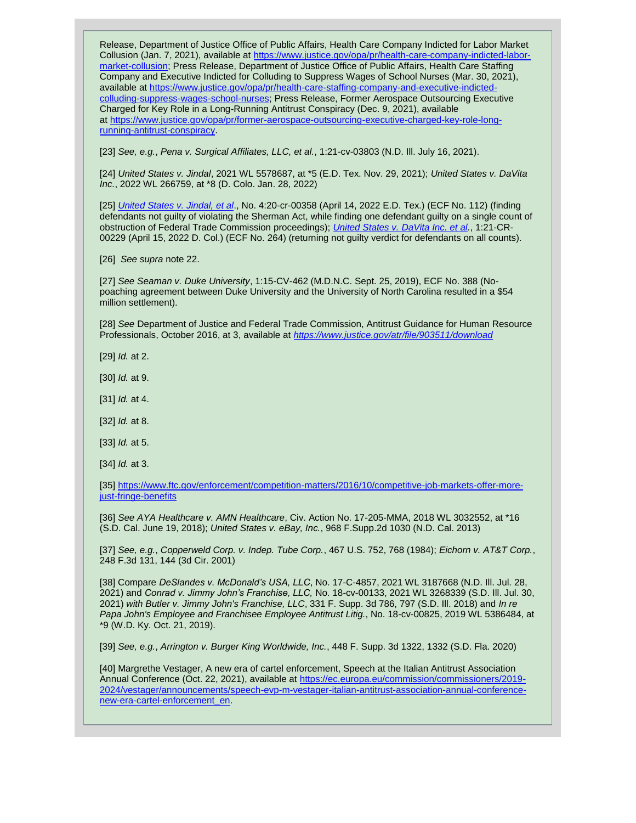Release, Department of Justice Office of Public Affairs, Health Care Company Indicted for Labor Market Collusion (Jan. 7, 2021), available at [https://www.justice.gov/opa/pr/health-care-company-indicted-labor](https://www.justice.gov/opa/pr/health-care-company-indicted-labor-market-collusion)[market-collusion;](https://www.justice.gov/opa/pr/health-care-company-indicted-labor-market-collusion) Press Release, Department of Justice Office of Public Affairs, Health Care Staffing Company and Executive Indicted for Colluding to Suppress Wages of School Nurses (Mar. 30, 2021), available at [https://www.justice.gov/opa/pr/health-care-staffing-company-and-executive-indicted](https://www.justice.gov/opa/pr/health-care-staffing-company-and-executive-indicted-colluding-suppress-wages-school-nurses)[colluding-suppress-wages-school-nurses;](https://www.justice.gov/opa/pr/health-care-staffing-company-and-executive-indicted-colluding-suppress-wages-school-nurses) Press Release, Former Aerospace Outsourcing Executive Charged for Key Role in a Long-Running Antitrust Conspiracy (Dec. 9, 2021), available at [https://www.justice.gov/opa/pr/former-aerospace-outsourcing-executive-charged-key-role-long](https://www.justice.gov/opa/pr/former-aerospace-outsourcing-executive-charged-key-role-long-running-antitrust-conspiracy)[running-antitrust-conspiracy.](https://www.justice.gov/opa/pr/former-aerospace-outsourcing-executive-charged-key-role-long-running-antitrust-conspiracy)

[23] *See, e.g.*, *Pena v. Surgical Affiliates, LLC, et al.*, 1:21-cv-03803 (N.D. Ill. July 16, 2021).

[24] *United States v. Jindal*, 2021 WL 5578687, at \*5 (E.D. Tex. Nov. 29, 2021); *United States v. DaVita Inc.*, 2022 WL 266759, at \*8 (D. Colo. Jan. 28, 2022)

[25] *[United States v. Jindal, et al](https://www.pbwt.com/content/uploads/2022/02/Jindal-Rodgers-Superseding-Indictment.pdf)*., No. 4:20-cr-00358 (April 14, 2022 E.D. Tex.) (ECF No. 112) (finding defendants not guilty of violating the Sherman Act, while finding one defendant guilty on a single count of obstruction of Federal Trade Commission proceedings); *[United States v. DaVita Inc. et](https://www.pbwt.com/content/uploads/2022/02/DaVita-Thiry-Indictment-1.pdf) al.*, 1:21-CR-00229 (April 15, 2022 D. Col.) (ECF No. 264) (returning not guilty verdict for defendants on all counts).

[26] *See supra* note 22.

[27] *See Seaman v. Duke University*, 1:15-CV-462 (M.D.N.C. Sept. 25, 2019), ECF No. 388 (Nopoaching agreement between Duke University and the University of North Carolina resulted in a \$54 million settlement).

[28] *See* Department of Justice and Federal Trade Commission, Antitrust Guidance for Human Resource Professionals, October 2016, at 3, available at *<https://www.justice.gov/atr/file/903511/download>*

- [29] *Id.* at 2.
- [30] *Id.* at 9.
- [31] *Id.* at 4.
- [32] *Id.* at 8.
- [33] *Id.* at 5.
- [34] *Id.* at 3.

[35] [https://www.ftc.gov/enforcement/competition-matters/2016/10/competitive-job-markets-offer-more](https://www.ftc.gov/enforcement/competition-matters/2016/10/competitive-job-markets-offer-more-just-fringe-benefits)[just-fringe-benefits](https://www.ftc.gov/enforcement/competition-matters/2016/10/competitive-job-markets-offer-more-just-fringe-benefits)

[36] *See AYA Healthcare v. AMN Healthcare*, Civ. Action No. 17-205-MMA, 2018 WL 3032552, at \*16 (S.D. Cal. June 19, 2018); *United States v. eBay, Inc.*, 968 F.Supp.2d 1030 (N.D. Cal. 2013)

[37] *See, e.g.*, *Copperweld Corp. v. Indep. Tube Corp.*, 467 U.S. 752, 768 (1984); *Eichorn v. AT&T Corp.*, 248 F.3d 131, 144 (3d Cir. 2001)

[38] Compare *DeSlandes v. McDonald's USA, LLC*, No. 17-C-4857, 2021 WL 3187668 (N.D. Ill. Jul. 28, 2021) and *Conrad v. Jimmy John's Franchise, LLC,* No. 18-cv-00133, 2021 WL 3268339 (S.D. Ill. Jul. 30, 2021) *with Butler v. Jimmy John's Franchise, LLC*, 331 F. Supp. 3d 786, 797 (S.D. Ill. 2018) and *In re Papa John's Employee and Franchisee Employee Antitrust Litig.*, No. 18-cv-00825, 2019 WL 5386484, at \*9 (W.D. Ky. Oct. 21, 2019).

[39] *See, e.g.*, *Arrington v. Burger King Worldwide, Inc.*, 448 F. Supp. 3d 1322, 1332 (S.D. Fla. 2020)

[40] Margrethe Vestager, A new era of cartel enforcement, Speech at the Italian Antitrust Association Annual Conference (Oct. 22, 2021), available at [https://ec.europa.eu/commission/commissioners/2019-](https://ec.europa.eu/commission/commissioners/2019-2024/vestager/announcements/speech-evp-m-vestager-italian-antitrust-association-annual-conference-new-era-cartel-enforcement_en) [2024/vestager/announcements/speech-evp-m-vestager-italian-antitrust-association-annual-conference](https://ec.europa.eu/commission/commissioners/2019-2024/vestager/announcements/speech-evp-m-vestager-italian-antitrust-association-annual-conference-new-era-cartel-enforcement_en)[new-era-cartel-enforcement\\_en.](https://ec.europa.eu/commission/commissioners/2019-2024/vestager/announcements/speech-evp-m-vestager-italian-antitrust-association-annual-conference-new-era-cartel-enforcement_en)